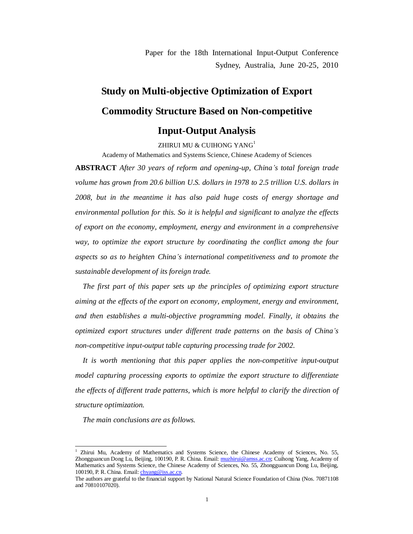Paper for the 18th International Input-Output Conference Sydney, Australia, June 20-25, 2010

# **Study on Multi-objective Optimization of Export Commodity Structure Based on Non-competitive**

# **Input-Output Analysis**

ZHIRUI MU & CUIHONG YANG<sup>1</sup>

Academy of Mathematics and Systems Science, Chinese Academy of Sciences

**ABSTRACT** *After 30 years of reform and opening-up, China's total foreign trade volume has grown from 20.6 billion U.S. dollars in 1978 to 2.5 trillion U.S. dollars in 2008, but in the meantime it has also paid huge costs of energy shortage and environmental pollution for this. So it is helpful and significant to analyze the effects of export on the economy, employment, energy and environment in a comprehensive way, to optimize the export structure by coordinating the conflict among the four aspects so as to heighten China's international competitiveness and to promote the sustainable development of its foreign trade.*

*The first part of this paper sets up the principles of optimizing export structure aiming at the effects of the export on economy, employment, energy and environment, and then establishes a multi-objective programming model. Finally, it obtains the optimized export structures under different trade patterns on the basis of China's non-competitive input-output table capturing processing trade for 2002.* 

*It is worth mentioning that this paper applies the non-competitive input-output model capturing processing exports to optimize the export structure to differentiate the effects of different trade patterns, which is more helpful to clarify the direction of structure optimization.* 

*The main conclusions are as follows.* 

1

<sup>1</sup> Zhirui Mu, Academy of Mathematics and Systems Science, the Chinese Academy of Sciences, No. 55, Zhongguancun Dong Lu, Beijing, 100190, P. R. China. Email: [muzhirui@amss.ac.cn;](mailto:muzhirui@amss.ac.cn) Cuihong Yang, Academy of Mathematics and Systems Science, the Chinese Academy of Sciences, No. 55, Zhongguancun Dong Lu, Beijing, 100190, P. R. China. Email: [chyang@iss.ac.cn.](mailto:chyang@iss.ac.cn)

The authors are grateful to the financial support by National Natural Science Foundation of China (Nos. 70871108 and 70810107020).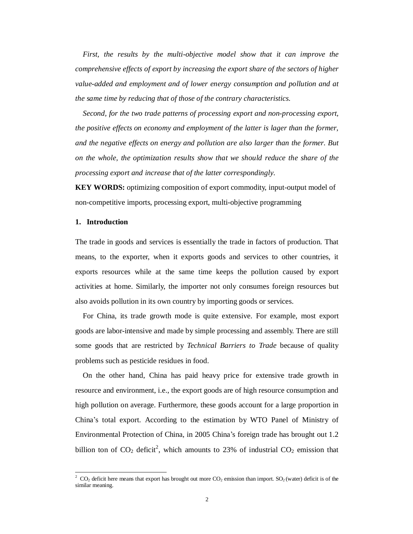*First, the results by the multi-objective model show that it can improve the comprehensive effects of export by increasing the export share of the sectors of higher value-added and employment and of lower energy consumption and pollution and at the same time by reducing that of those of the contrary characteristics.* 

*Second, for the two trade patterns of processing export and non-processing export, the positive effects on economy and employment of the latter is lager than the former, and the negative effects on energy and pollution are also larger than the former. But on the whole, the optimization results show that we should reduce the share of the processing export and increase that of the latter correspondingly.*

**KEY WORDS:** optimizing composition of export commodity, input-output model of non-competitive imports, processing export, multi-objective programming

#### **1. Introduction**

-

The trade in goods and services is essentially the trade in factors of production. That means, to the exporter, when it exports goods and services to other countries, it exports resources while at the same time keeps the pollution caused by export activities at home. Similarly, the importer not only consumes foreign resources but also avoids pollution in its own country by importing goods or services.

For China, its trade growth mode is quite extensive. For example, most export goods are labor-intensive and made by simple processing and assembly. There are still some goods that are restricted by *Technical Barriers to Trade* because of quality problems such as pesticide residues in food.

On the other hand, China has paid heavy price for extensive trade growth in resource and environment, i.e., the export goods are of high resource consumption and high pollution on average. Furthermore, these goods account for a large proportion in China's total export. According to the estimation by WTO Panel of Ministry of Environmental Protection of China, in 2005 China's foreign trade has brought out 1.2 billion ton of  $CO_2$  deficit<sup>2</sup>, which amounts to 23% of industrial  $CO_2$  emission that

<sup>&</sup>lt;sup>2</sup> CO<sub>2</sub> deficit here means that export has brought out more CO<sub>2</sub> emission than import. SO<sub>2</sub> (water) deficit is of the similar meaning.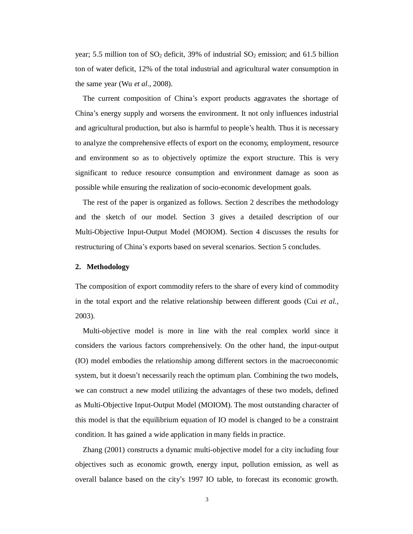year; 5.5 million ton of  $SO_2$  deficit, 39% of industrial  $SO_2$  emission; and 61.5 billion ton of water deficit, 12% of the total industrial and agricultural water consumption in the same year (Wu *et al.*, 2008).

The current composition of China's export products aggravates the shortage of China's energy supply and worsens the environment. It not only influences industrial and agricultural production, but also is harmful to people's health. Thus it is necessary to analyze the comprehensive effects of export on the economy, employment, resource and environment so as to objectively optimize the export structure. This is very significant to reduce resource consumption and environment damage as soon as possible while ensuring the realization of socio-economic development goals.

The rest of the paper is organized as follows. Section 2 describes the methodology and the sketch of our model. Section 3 gives a detailed description of our Multi-Objective Input-Output Model (MOIOM). Section 4 discusses the results for restructuring of China's exports based on several scenarios. Section 5 concludes.

#### **2. Methodology**

The composition of export commodity refers to the share of every kind of commodity in the total export and the relative relationship between different goods (Cui *et al.,* 2003).

Multi-objective model is more in line with the real complex world since it considers the various factors comprehensively. On the other hand, the input-output (IO) model embodies the relationship among different sectors in the macroeconomic system, but it doesn't necessarily reach the optimum plan. Combining the two models, we can construct a new model utilizing the advantages of these two models, defined as Multi-Objective Input-Output Model (MOIOM). The most outstanding character of this model is that the equilibrium equation of IO model is changed to be a constraint condition. It has gained a wide application in many fields in practice.

Zhang (2001) constructs a dynamic multi-objective model for a city including four objectives such as economic growth, energy input, pollution emission, as well as overall balance based on the city's 1997 IO table, to forecast its economic growth.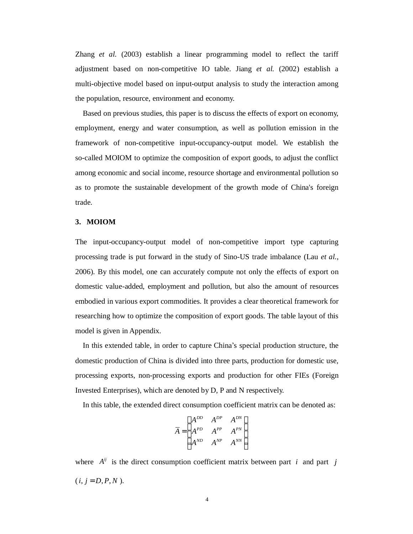Zhang *et al.* (2003) establish a linear programming model to reflect the tariff adjustment based on non-competitive IO table. Jiang *et al.* (2002) establish a multi-objective model based on input-output analysis to study the interaction among the population, resource, environment and economy.

Based on previous studies, this paper is to discuss the effects of export on economy, employment, energy and water consumption, as well as pollution emission in the framework of non-competitive input-occupancy-output model. We establish the so-called MOIOM to optimize the composition of export goods, to adjust the conflict among economic and social income, resource shortage and environmental pollution so as to promote the sustainable development of the growth mode of China's foreign trade.

#### **3. MOIOM**

The input-occupancy-output model of non-competitive import type capturing processing trade is put forward in the study of Sino-US trade imbalance (Lau *et al.*, 2006). By this model, one can accurately compute not only the effects of export on domestic value-added, employment and pollution, but also the amount of resources embodied in various export commodities. It provides a clear theoretical framework for researching how to optimize the composition of export goods. The table layout of this model is given in Appendix.

In this extended table, in order to capture China's special production structure, the domestic production of China is divided into three parts, production for domestic use, processing exports, non-processing exports and production for other FIEs (Foreign Invested Enterprises), which are denoted by D, P and N respectively.

In this table, the extended direct consumption coefficient matrix can be denoted as:

$$
\overline{A} = \begin{pmatrix} A^{DD} & A^{DP} & A^{DN} \\ A^{PD} & A^{PP} & A^{PN} \\ A^{ND} & A^{NP} & A^{NN} \end{pmatrix}
$$

where  $A^{ij}$  is the direct consumption coefficient matrix between part *i* and part *j*  $(i, j = D, P, N)$ .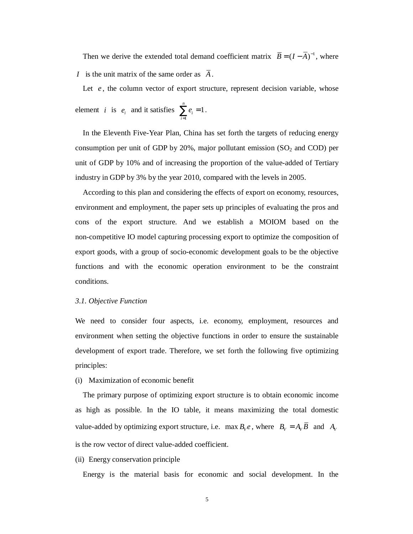Then we derive the extended total demand coefficient matrix  $\vec{B} = (I - \vec{A})^{-1}$ , where *I* is the unit matrix of the same order as  $\overline{A}$ .

Let *e*, the column vector of export structure, represent decision variable, whose element *i* is  $e_i$  and it satisfies 1  $\sum_{i=1}^{n} e_i = 1$  $\sum_{i=1}^{\mathbf{c}}$ *e*  $\sum_{i=1} e_i = 1$ .

In the Eleventh Five-Year Plan, China has set forth the targets of reducing energy consumption per unit of GDP by  $20\%$ , major pollutant emission (SO<sub>2</sub> and COD) per unit of GDP by 10% and of increasing the proportion of the value-added of Tertiary industry in GDP by 3% by the year 2010, compared with the levels in 2005.

According to this plan and considering the effects of export on economy, resources, environment and employment, the paper sets up principles of evaluating the pros and cons of the export structure. And we establish a MOIOM based on the non-competitive IO model capturing processing export to optimize the composition of export goods, with a group of socio-economic development goals to be the objective functions and with the economic operation environment to be the constraint conditions.

#### *3.1. Objective Function*

We need to consider four aspects, i.e. economy, employment, resources and environment when setting the objective functions in order to ensure the sustainable development of export trade. Therefore, we set forth the following five optimizing principles:

#### (i) Maximization of economic benefit

The primary purpose of optimizing export structure is to obtain economic income as high as possible. In the IO table, it means maximizing the total domestic value-added by optimizing export structure, i.e. max  $B_{\nu}e$ , where  $B_{\nu} = A_{\nu}\overline{B}$  and  $A_{\nu}$ is the row vector of direct value-added coefficient.

(ii) Energy conservation principle

Energy is the material basis for economic and social development. In the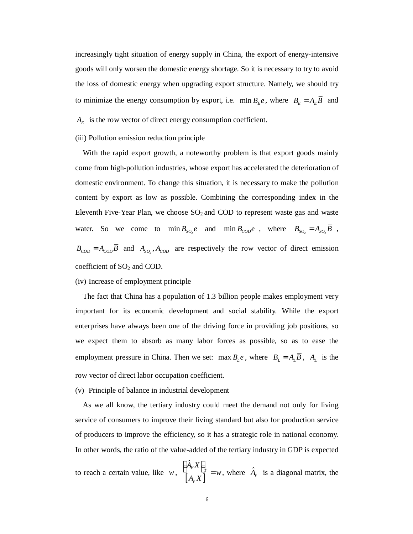increasingly tight situation of energy supply in China, the export of energy-intensive goods will only worsen the domestic energy shortage. So it is necessary to try to avoid the loss of domestic energy when upgrading export structure. Namely, we should try to minimize the energy consumption by export, i.e. min  $B_E e$ , where  $B_E = A_E \overline{B}$  and

 $A_E$  is the row vector of direct energy consumption coefficient.

#### (iii) Pollution emission reduction principle

With the rapid export growth, a noteworthy problem is that export goods mainly come from high-pollution industries, whose export has accelerated the deterioration of domestic environment. To change this situation, it is necessary to make the pollution content by export as low as possible. Combining the corresponding index in the Eleventh Five-Year Plan, we choose  $SO<sub>2</sub>$  and COD to represent waste gas and waste water. So we come to  $\min B_{SO_2}e$  and  $\min B_{COD}e$ , where  $B_{SO_2} = A_{SO_2} \overline{B}$ ,  $B_{\text{COD}} = A_{\text{COD}} \overline{B}$  and  $A_{\text{SO}_2}$ ,  $A_{\text{COD}}$  are respectively the row vector of direct emission coefficient of  $SO<sub>2</sub>$  and COD.

### (iv) Increase of employment principle

The fact that China has a population of 1.3 billion people makes employment very important for its economic development and social stability. While the export enterprises have always been one of the driving force in providing job positions, so we expect them to absorb as many labor forces as possible, so as to ease the employment pressure in China. Then we set: max  $B_{\mu}e$ , where  $B_{\mu} = A_{\mu}\overline{B}$ ,  $A_{\mu}$  is the row vector of direct labor occupation coefficient.

(v) Principle of balance in industrial development

As we all know, the tertiary industry could meet the demand not only for living service of consumers to improve their living standard but also for production service of producers to improve the efficiency, so it has a strategic role in national economy. In other words, the ratio of the value-added of the tertiary industry in GDP is expected

to reach a certain value, like *w*,  $\frac{1}{A_v X}$  $\left[\hat{A}_{V}X\right]_{T}$ *V*  $\stackrel{\cdot }{A}_v X$ *w*  $A_V X$  $\left[ \frac{\hat{A}_V X}{I} \right]_T = w$ , where  $\hat{A}_V$  is a diagonal matrix, the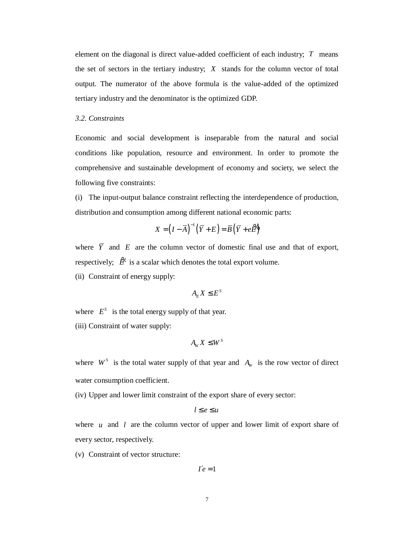element on the diagonal is direct value-added coefficient of each industry; *T* means the set of sectors in the tertiary industry; *X* stands for the column vector of total output. The numerator of the above formula is the value-added of the optimized tertiary industry and the denominator is the optimized GDP.

## *3.2. Constraints*

Economic and social development is inseparable from the natural and social conditions like population, resource and environment. In order to promote the comprehensive and sustainable development of economy and society, we select the following five constraints:

(i) The input-output balance constraint reflecting the interdependence of production, distribution and consumption among different national economic parts:

$$
X = (I - \overline{A})^{-1} (\overline{Y} + E) = \overline{B} (\overline{Y} + e\overline{B})
$$

where  $\overline{Y}$  and  $E$  are the column vector of domestic final use and that of export, respectively;  $\mathcal{L}^{\mathbf{b}}$  is a scalar which denotes the total export volume.

(ii) Constraint of energy supply:

$$
A_{E}X \leq E^{S}
$$

where  $E^S$  is the total energy supply of that year.

(iii) Constraint of water supply:

$$
A_{W} X \leq W^{S}
$$

where  $W^s$  is the total water supply of that year and  $A_w$  is the row vector of direct water consumption coefficient.

(iv) Upper and lower limit constraint of the export share of every sector:

$$
l\leq e\leq u
$$

where  $u$  and  $l$  are the column vector of upper and lower limit of export share of every sector, respectively.

(v) Constraint of vector structure:

$$
I'e=1
$$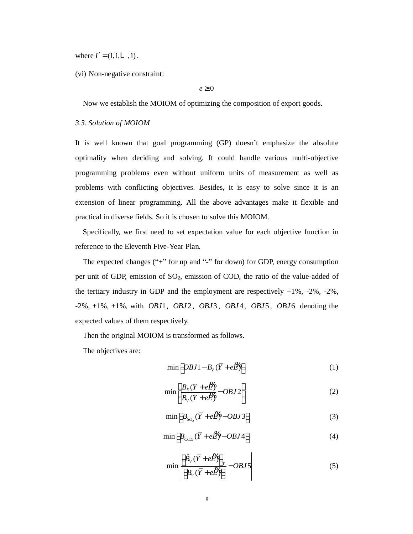where  $I' = (1, 1, L, 1)$ .

(vi) Non-negative constraint:

#### $e \geq 0$

Now we establish the MOIOM of optimizing the composition of export goods.

#### *3.3. Solution of MOIOM*

It is well known that goal programming (GP) doesn't emphasize the absolute optimality when deciding and solving. It could handle various multi-objective programming problems even without uniform units of measurement as well as problems with conflicting objectives. Besides, it is easy to solve since it is an extension of linear programming. All the above advantages make it flexible and practical in diverse fields. So it is chosen to solve this MOIOM.

Specifically, we first need to set expectation value for each objective function in reference to the Eleventh Five-Year Plan.

The expected changes ("+" for up and "-" for down) for GDP, energy consumption per unit of GDP, emission of  $SO_2$ , emission of COD, the ratio of the value-added of the tertiary industry in GDP and the employment are respectively +1%, -2%, -2%, -2%, +1%, +1%, with *OBJ*1, *OBJ* 2, *OBJ*3 , *OBJ* 4, *OBJ*5 , *OBJ* 6 denoting the expected values of them respectively.

Then the original MOIOM is transformed as follows.

The objectives are:

$$
\min\left[OBJ1 - B_V(\overline{Y} + e\overline{Z})\right] \tag{1}
$$

$$
\min \left[ \frac{B_E (\overline{Y} + e \overline{Z})}{B_V (\overline{Y} + e \overline{Z})} - OBJ2 \right]
$$
 (2)

$$
\min\left[B_{SO_2}(\overline{Y}+e\overline{Z})-OBJ3\right]
$$
 (3)

$$
\min\left[B_{\text{COD}}(\overline{Y} + e\overline{B}) - OBJ4\right] \tag{4}
$$

$$
\min \left| \frac{\left[\hat{B}_V(\overline{Y} + e\overline{B})\right]_T}{\left[B_V(\overline{Y} + e\overline{B})\right]} - OBJ5\right| \tag{5}
$$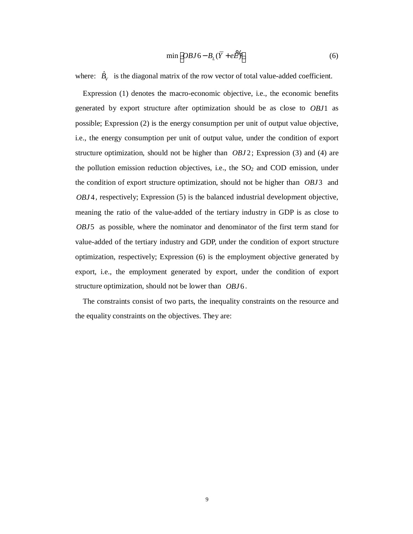$$
\min\left[OBJ6 - B_L(\overline{Y} + e\overline{Z})\right] \tag{6}
$$

where:  $\hat{B}_V$  is the diagonal matrix of the row vector of total value-added coefficient.

Expression (1) denotes the macro-economic objective, i.e., the economic benefits generated by export structure after optimization should be as close to *OBJ*1 as possible; Expression (2) is the energy consumption per unit of output value objective, i.e., the energy consumption per unit of output value, under the condition of export structure optimization, should not be higher than *OBJ* 2; Expression (3) and (4) are the pollution emission reduction objectives, i.e., the  $SO<sub>2</sub>$  and COD emission, under the condition of export structure optimization, should not be higher than *OBJ*3 and *OBJ* 4, respectively; Expression (5) is the balanced industrial development objective, meaning the ratio of the value-added of the tertiary industry in GDP is as close to *OBJ*5 as possible, where the nominator and denominator of the first term stand for value-added of the tertiary industry and GDP, under the condition of export structure optimization, respectively; Expression (6) is the employment objective generated by export, i.e., the employment generated by export, under the condition of export structure optimization, should not be lower than *OBJ* 6 .

The constraints consist of two parts, the inequality constraints on the resource and the equality constraints on the objectives. They are: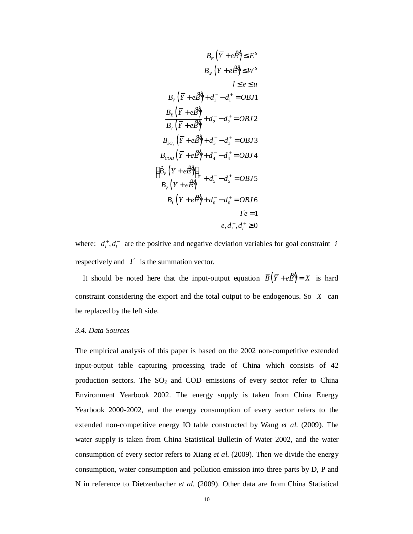$$
B_{E} (\overline{Y} + e\overline{B}) \leq E^{S}
$$
\n
$$
B_{W} (\overline{Y} + e\overline{B}) \leq W^{S}
$$
\n
$$
l \leq e \leq u
$$
\n
$$
B_{V} (\overline{Y} + e\overline{B}) + d_{1}^{-} - d_{1}^{+} = OBJ1
$$
\n
$$
\frac{B_{E} (\overline{Y} + e\overline{B})}{B_{V} (\overline{Y} + e\overline{B})} + d_{2}^{-} - d_{2}^{+} = OBJ2
$$
\n
$$
B_{SO_{2}} (\overline{Y} + e\overline{B}) + d_{3}^{-} - d_{3}^{+} = OBJ3
$$
\n
$$
B_{COD} (\overline{Y} + e\overline{B}) + d_{4}^{-} - d_{4}^{+} = OBJ4
$$
\n
$$
\frac{\left[\hat{B}_{V} (\overline{Y} + e\overline{B})\right]_{T}}{B_{V} (\overline{Y} + e\overline{B})} + d_{5}^{-} - d_{5}^{+} = OBJ5
$$
\n
$$
B_{L} (\overline{Y} + e\overline{B}) + d_{6}^{-} - d_{6}^{+} = OBJ6
$$
\n
$$
I'e = 1
$$
\n
$$
e, d_{i}^{-}, d_{i}^{+} \geq 0
$$

where:  $d_i^+, d_i^-$  are the positive and negative deviation variables for goal constraint *i* respectively and *I*′ is the summation vector.

It should be noted here that the input-output equation  $\overline{B}(\overline{Y} + e\overline{B}) = X$  is hard constraint considering the export and the total output to be endogenous. So *X* can be replaced by the left side.

#### *3.4. Data Sources*

The empirical analysis of this paper is based on the 2002 non-competitive extended input-output table capturing processing trade of China which consists of 42 production sectors. The  $SO<sub>2</sub>$  and COD emissions of every sector refer to China Environment Yearbook 2002. The energy supply is taken from China Energy Yearbook 2000-2002, and the energy consumption of every sector refers to the extended non-competitive energy IO table constructed by Wang *et al.* (2009). The water supply is taken from China Statistical Bulletin of Water 2002, and the water consumption of every sector refers to Xiang *et al.* (2009). Then we divide the energy consumption, water consumption and pollution emission into three parts by D, P and N in reference to Dietzenbacher *et al.* (2009). Other data are from China Statistical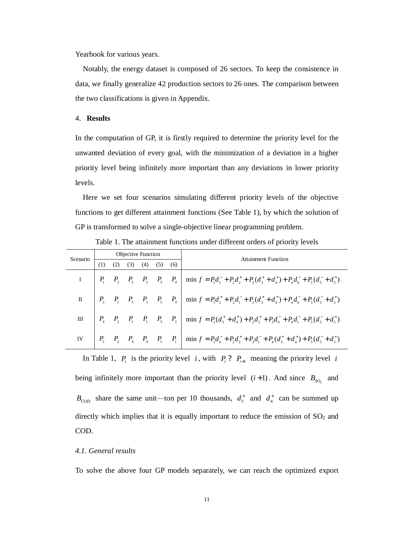Yearbook for various years.

Notably, the energy dataset is composed of 26 sectors. To keep the consistence in data, we finally generalize 42 production sectors to 26 ones. The comparison between the two classifications is given in Appendix.

#### 4. **Results**

In the computation of GP, it is firstly required to determine the priority level for the unwanted deviation of every goal, with the minimization of a deviation in a higher priority level being infinitely more important than any deviations in lower priority levels.

Here we set four scenarios simulating different priority levels of the objective functions to get different attainment functions (See Table 1), by which the solution of GP is transformed to solve a single-objective linear programming problem.

| Scenario |  | Objective Function |                         |  | <b>Attainment Function</b>                                                                                                                                    |
|----------|--|--------------------|-------------------------|--|---------------------------------------------------------------------------------------------------------------------------------------------------------------|
|          |  |                    | $(3)$ $(4)$ $(5)$ $(6)$ |  |                                                                                                                                                               |
|          |  |                    |                         |  | $I = \begin{bmatrix} P_1 & P_2 & P_3 & P_3 & P_5 & P_4 \end{bmatrix}$ min $f = P_1 d_1^- + P_2 d_2^+ + P_3 (d_3^+ + d_4^+) + P_4 d_6^- + P_5 (d_5^- + d_5^+)$ |
|          |  |                    |                         |  | II $\begin{vmatrix} P_2 & P_1 & P_3 & P_5 & P_4 \end{vmatrix}$ min $f = P_1 d_2^+ + P_2 d_1^- + P_3 (d_3^+ + d_4^+) + P_4 d_6^- + P_5 (d_5^+ + d_5^+)$        |
|          |  |                    |                         |  | III $\begin{vmatrix} P_4 & P_2 & P_1 & P_1 & P_5 & P_3 \end{vmatrix}$ min $f = P_1(d_3^* + d_4^*) + P_2d_2^* + P_3d_6^- + P_4d_1^- + P_5(d_5^* + d_5^*)$      |
|          |  |                    |                         |  | IV $P_3$ $P_2$ $P_4$ $P_5$ $P_1$ $\begin{bmatrix} 1 \\ m_1 \end{bmatrix}$ $\min f = P_1 d_6 + P_2 d_2 + P_3 d_1 + P_4 (d_3^+ + d_4^+) + P_5 (d_5^+ + d_5^+)$  |

Table 1. The attainment functions under different orders of priority levels

In Table 1,  $P_i$  is the priority level *i*, with  $P_i$ ?  $P_{i+1}$  meaning the priority level *i* being infinitely more important than the priority level  $(i+1)$ . And since  $B_{SO_2}$  and  $B_{\text{COD}}$  share the same unit—ton per 10 thousands,  $d_3^+$  and  $d_4^+$  can be summed up directly which implies that it is equally important to reduce the emission of  $SO<sub>2</sub>$  and COD.

#### *4.1. General results*

To solve the above four GP models separately, we can reach the optimized export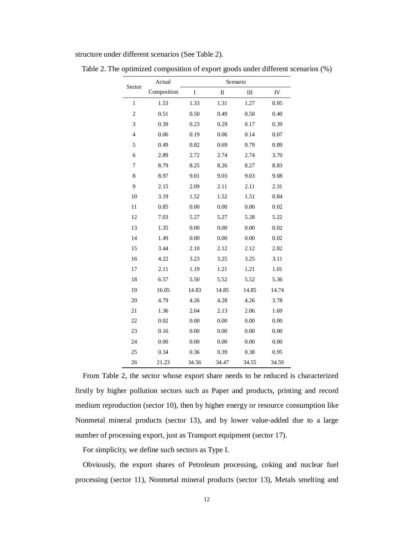structure under different scenarios (See Table 2).

| Sector         | Actual      |       | Scenario    |       |       |  |  |  |  |  |
|----------------|-------------|-------|-------------|-------|-------|--|--|--|--|--|
|                | Composition | I     | $\mathbf I$ | Ш     | IV    |  |  |  |  |  |
| $\,1$          | 1.53        | 1.33  | 1.31        | 1.27  | 0.95  |  |  |  |  |  |
| $\overline{2}$ | 0.51        | 0.50  | 0.49        | 0.50  | 0.40  |  |  |  |  |  |
| 3              | 0.39        | 0.23  | 0.29        | 0.17  | 0.39  |  |  |  |  |  |
| $\overline{4}$ | 0.06        | 0.19  | 0.06        | 0.14  | 0.07  |  |  |  |  |  |
| 5              | 0.49        | 0.82  | 0.69        | 0.79  | 0.89  |  |  |  |  |  |
| 6              | 2.89        | 2.72  | 2.74        | 2.74  | 3.70  |  |  |  |  |  |
| 7              | 8.79        | 8.25  | 8.26        | 8.27  | 8.83  |  |  |  |  |  |
| 8              | 8.97        | 9.01  | 9.03        | 9.03  | 9.08  |  |  |  |  |  |
| 9              | 2.15        | 2.09  | 2.11        | 2.11  | 2.31  |  |  |  |  |  |
| 10             | 3.19        | 1.52  | 1.52        | 1.51  | 0.84  |  |  |  |  |  |
| 11             | 0.85        | 0.00  | 0.00        | 0.00  | 0.02  |  |  |  |  |  |
| 12             | 7.03        | 5.27  | 5.27        | 5.28  | 5.22  |  |  |  |  |  |
| 13             | 1.35        | 0.00  | 0.00        | 0.00  | 0.02  |  |  |  |  |  |
| 14             | 1.49        | 0.00  | 0.00        | 0.00  | 0.02  |  |  |  |  |  |
| 15             | 3.44        | 2.10  | 2.12        | 2.12  | 2.02  |  |  |  |  |  |
| 16             | 4.22        | 3.23  | 3.25        | 3.25  | 3.11  |  |  |  |  |  |
| 17             | 2.11        | 1.19  | 1.21        | 1.21  | 1.01  |  |  |  |  |  |
| 18             | 6.57        | 5.50  | 5.52        | 5.52  | 5.36  |  |  |  |  |  |
| 19             | 16.05       | 14.83 | 14.85       | 14.85 | 14.74 |  |  |  |  |  |
| 20             | 4.79        | 4.26  | 4.28        | 4.26  | 3.78  |  |  |  |  |  |
| 21             | 1.36        | 2.04  | 2.13        | 2.06  | 1.69  |  |  |  |  |  |
| 22             | 0.02        | 0.00  | 0.00        | 0.00  | 0.00  |  |  |  |  |  |
| 23             | 0.16        | 0.00  | 0.00        | 0.00  | 0.00  |  |  |  |  |  |
| 24             | 0.00        | 0.00  | 0.00        | 0.00  | 0.00  |  |  |  |  |  |
| 25             | 0.34        | 0.36  | 0.39        | 0.38  | 0.95  |  |  |  |  |  |
| 26             | 21.23       | 34.56 | 34.47       | 34.55 | 34.59 |  |  |  |  |  |

Table 2. The optimized composition of export goods under different scenarios (%)

From Table 2, the sector whose export share needs to be reduced is characterized firstly by higher pollution sectors such as Paper and products, printing and record medium reproduction (sector 10), then by higher energy or resource consumption like Nonmetal mineral products (sector 13), and by lower value-added due to a large number of processing export, just as Transport equipment (sector 17).

For simplicity, we define such sectors as Type I.

Obviously, the export shares of Petroleum processing, coking and nuclear fuel processing (sector 11), Nonmetal mineral products (sector 13), Metals smelting and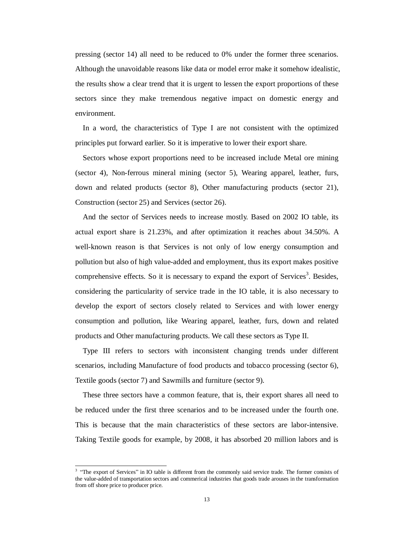pressing (sector 14) all need to be reduced to 0% under the former three scenarios. Although the unavoidable reasons like data or model error make it somehow idealistic, the results show a clear trend that it is urgent to lessen the export proportions of these sectors since they make tremendous negative impact on domestic energy and environment.

In a word, the characteristics of Type I are not consistent with the optimized principles put forward earlier. So it is imperative to lower their export share.

Sectors whose export proportions need to be increased include Metal ore mining (sector 4), Non-ferrous mineral mining (sector 5), Wearing apparel, leather, furs, down and related products (sector 8), Other manufacturing products (sector 21), Construction (sector 25) and Services (sector 26).

And the sector of Services needs to increase mostly. Based on 2002 IO table, its actual export share is 21.23%, and after optimization it reaches about 34.50%. A well-known reason is that Services is not only of low energy consumption and pollution but also of high value-added and employment, thus its export makes positive comprehensive effects. So it is necessary to expand the export of Services<sup>3</sup>. Besides, considering the particularity of service trade in the IO table, it is also necessary to develop the export of sectors closely related to Services and with lower energy consumption and pollution, like Wearing apparel, leather, furs, down and related products and Other manufacturing products. We call these sectors as Type II.

Type III refers to sectors with inconsistent changing trends under different scenarios, including Manufacture of food products and tobacco processing (sector 6), Textile goods (sector 7) and Sawmills and furniture (sector 9).

These three sectors have a common feature, that is, their export shares all need to be reduced under the first three scenarios and to be increased under the fourth one. This is because that the main characteristics of these sectors are labor-intensive. Taking Textile goods for example, by 2008, it has absorbed 20 million labors and is

1

<sup>&</sup>lt;sup>3</sup> "The export of Services" in IO table is different from the commonly said service trade. The former consists of the value-added of transportation sectors and commerical industries that goods trade arouses in the transformation from off shore price to producer price.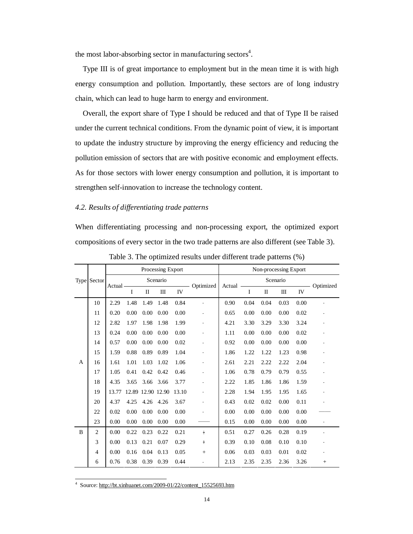the most labor-absorbing sector in manufacturing sectors<sup>4</sup>.

Type III is of great importance to employment but in the mean time it is with high energy consumption and pollution. Importantly, these sectors are of long industry chain, which can lead to huge harm to energy and environment.

Overall, the export share of Type I should be reduced and that of Type II be raised under the current technical conditions. From the dynamic point of view, it is important to update the industry structure by improving the energy efficiency and reducing the pollution emission of sectors that are with positive economic and employment effects. As for those sectors with lower energy consumption and pollution, it is important to strengthen self-innovation to increase the technology content.

# *4.2. Results of differentiating trade patterns*

When differentiating processing and non-processing export, the optimized export compositions of every sector in the two trade patterns are also different (see Table 3).

|                |                |         |          |                   | Processing Export |           |                |          |      |              | Non-processing Export |           |        |
|----------------|----------------|---------|----------|-------------------|-------------------|-----------|----------------|----------|------|--------------|-----------------------|-----------|--------|
|                | Type Sector    |         | Scenario |                   |                   | Optimized | Actual -       | Scenario |      |              |                       | Optimized |        |
|                |                | Actual- | I        | $\mathbf{I}$      | Ш                 | IV        |                |          | I    | $\mathbf{I}$ | Ш                     | IV        |        |
|                | 10             | 2.29    | 1.48     | 1.49              | 1.48              | 0.84      | $\blacksquare$ | 0.90     | 0.04 | 0.04         | 0.03                  | 0.00      |        |
|                | 11             | 0.20    | 0.00     | 0.00              | 0.00              | 0.00      | $\blacksquare$ | 0.65     | 0.00 | 0.00         | 0.00                  | 0.02      |        |
|                | 12             | 2.82    | 1.97     | 1.98              | 1.98              | 1.99      |                | 4.21     | 3.30 | 3.29         | 3.30                  | 3.24      |        |
|                | 13             | 0.24    | 0.00     | 0.00              | 0.00              | 0.00      |                | 1.11     | 0.00 | 0.00         | 0.00                  | 0.02      |        |
|                | 14             | 0.57    | 0.00     | 0.00              | 0.00              | 0.02      |                | 0.92     | 0.00 | 0.00         | 0.00                  | 0.00      |        |
|                | 15             | 1.59    | 0.88     | 0.89              | 0.89              | 1.04      |                | 1.86     | 1.22 | 1.22         | 1.23                  | 0.98      |        |
| $\overline{A}$ | 16             | 1.61    | 1.01     | 1.03              | 1.02              | 1.06      |                | 2.61     | 2.21 | 2.22         | 2.22                  | 2.04      |        |
|                | 17             | 1.05    | 0.41     | 0.42              | 0.42              | 0.46      | $\blacksquare$ | 1.06     | 0.78 | 0.79         | 0.79                  | 0.55      |        |
|                | 18             | 4.35    | 3.65     | 3.66              | 3.66              | 3.77      |                | 2.22     | 1.85 | 1.86         | 1.86                  | 1.59      |        |
|                | 19             | 13.77   |          | 12.89 12.90 12.90 |                   | 13.10     |                | 2.28     | 1.94 | 1.95         | 1.95                  | 1.65      |        |
|                | 20             | 4.37    | 4.25     | 4.26              | 4.26              | 3.67      | $\blacksquare$ | 0.43     | 0.02 | 0.02         | 0.00                  | 0.11      |        |
|                | 22             | 0.02    | 0.00     | 0.00              | 0.00              | 0.00      | $\blacksquare$ | 0.00     | 0.00 | 0.00         | 0.00                  | 0.00      |        |
|                | 23             | 0.00    | 0.00     | 0.00              | 0.00              | 0.00      |                | 0.15     | 0.00 | 0.00         | 0.00                  | 0.00      |        |
| B              | $\overline{c}$ | 0.00    | 0.22     | 0.23              | 0.22              | 0.21      | ÷              | 0.51     | 0.27 | 0.26         | 0.28                  | 0.19      |        |
|                | 3              | 0.00    | 0.13     | 0.21              | 0.07              | 0.29      | ٠              | 0.39     | 0.10 | 0.08         | 0.10                  | 0.10      |        |
|                | $\overline{4}$ | 0.00    | 0.16     | 0.04              | 0.13              | 0.05      | $+$            | 0.06     | 0.03 | 0.03         | 0.01                  | 0.02      |        |
|                | 6              | 0.76    | 0.38     | 0.39              | 0.39              | 0.44      | $\blacksquare$ | 2.13     | 2.35 | 2.35         | 2.36                  | 3.26      | $^{+}$ |

Table 3. The optimized results under different trade patterns (%)

4 Source: [http://bt.xinhuanet.com/2009-01/22/content\\_15525693.htm](http://bt.xinhuanet.com/2009-01/22/content_15525693.htm)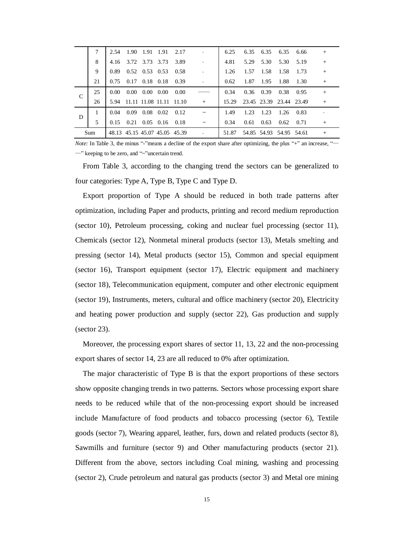|   |     |      |                             |                | 2.54 1.90 1.91 1.91 2.17           |      |            | 6.25  |      |               | 6.35 6.35 6.35 6.66           |           | $^{+}$ |
|---|-----|------|-----------------------------|----------------|------------------------------------|------|------------|-------|------|---------------|-------------------------------|-----------|--------|
|   | 8   |      | 4.16 3.72 3.73 3.73         |                |                                    | 3.89 |            | 4.81  |      | 5.29 5.30     |                               | 5.30 5.19 | $^{+}$ |
|   | 9   |      |                             |                | 0.89 0.52 0.53 0.53 0.58           |      |            | 1.26  |      | 1.57 1.58     | - 1.58                        | 1.73      |        |
|   | 21  |      |                             |                | $0.75$ $0.17$ $0.18$ $0.18$        | 0.39 |            | 0.62  |      | 1.87 1.95     | 1.88 1.30                     |           | $^{+}$ |
| C | 25  | 0.00 |                             | 0.00 0.00 0.00 |                                    | 0.00 |            | 0.34  |      | $0.36$ $0.39$ | 0.38                          | 0.95      | $^{+}$ |
|   | 26  |      |                             |                | 5.94 11.11 11.08 11.11 11.10       |      | $+$        |       |      |               | 15.29 23.45 23.39 23.44 23.49 |           | $+$    |
| D |     |      | $0.04$ $0.09$ $0.08$ $0.02$ |                |                                    | 0.12 | $\tilde{}$ | 1.49  | 1.23 | 1.23          | 1.26                          | 0.83      |        |
|   | 5   |      |                             |                | $0.15$ $0.21$ $0.05$ $0.16$ $0.18$ |      | $\tilde{}$ | 0.34  |      | $0.61$ $0.63$ | 0.62                          | 0.71      | $^{+}$ |
|   | Sum |      |                             |                | 48.13 45.15 45.07 45.05 45.39      |      |            | 51.87 |      |               | 54.85 54.93 54.95 54.61       |           | $^{+}$ |

*Note:* In Table 3, the minus "-"means a decline of the export share after optimizing, the plus "+" an increase, "-—" keeping to be zero, and "~"uncertain trend.

From Table 3, according to the changing trend the sectors can be generalized to four categories: Type A, Type B, Type C and Type D.

Export proportion of Type A should be reduced in both trade patterns after optimization, including Paper and products, printing and record medium reproduction (sector 10), Petroleum processing, coking and nuclear fuel processing (sector 11), Chemicals (sector 12), Nonmetal mineral products (sector 13), Metals smelting and pressing (sector 14), Metal products (sector 15), Common and special equipment (sector 16), Transport equipment (sector 17), Electric equipment and machinery (sector 18), Telecommunication equipment, computer and other electronic equipment (sector 19), Instruments, meters, cultural and office machinery (sector 20), Electricity and heating power production and supply (sector 22), Gas production and supply (sector 23).

Moreover, the processing export shares of sector 11, 13, 22 and the non-processing export shares of sector 14, 23 are all reduced to 0% after optimization.

The major characteristic of Type B is that the export proportions of these sectors show opposite changing trends in two patterns. Sectors whose processing export share needs to be reduced while that of the non-processing export should be increased include Manufacture of food products and tobacco processing (sector 6), Textile goods (sector 7), Wearing apparel, leather, furs, down and related products (sector 8), Sawmills and furniture (sector 9) and Other manufacturing products (sector 21). Different from the above, sectors including Coal mining, washing and processing (sector 2), Crude petroleum and natural gas products (sector 3) and Metal ore mining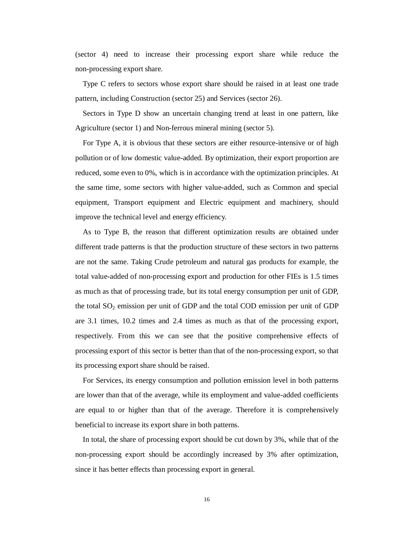(sector 4) need to increase their processing export share while reduce the non-processing export share.

Type C refers to sectors whose export share should be raised in at least one trade pattern, including Construction (sector 25) and Services (sector 26).

Sectors in Type D show an uncertain changing trend at least in one pattern, like Agriculture (sector 1) and Non-ferrous mineral mining (sector 5).

For Type A, it is obvious that these sectors are either resource-intensive or of high pollution or of low domestic value-added. By optimization, their export proportion are reduced, some even to 0%, which is in accordance with the optimization principles. At the same time, some sectors with higher value-added, such as Common and special equipment, Transport equipment and Electric equipment and machinery, should improve the technical level and energy efficiency.

As to Type B, the reason that different optimization results are obtained under different trade patterns is that the production structure of these sectors in two patterns are not the same. Taking Crude petroleum and natural gas products for example, the total value-added of non-processing export and production for other FIEs is 1.5 times as much as that of processing trade, but its total energy consumption per unit of GDP, the total  $SO_2$  emission per unit of GDP and the total COD emission per unit of GDP are 3.1 times, 10.2 times and 2.4 times as much as that of the processing export, respectively. From this we can see that the positive comprehensive effects of processing export of this sector is better than that of the non-processing export, so that its processing export share should be raised.

For Services, its energy consumption and pollution emission level in both patterns are lower than that of the average, while its employment and value-added coefficients are equal to or higher than that of the average. Therefore it is comprehensively beneficial to increase its export share in both patterns.

In total, the share of processing export should be cut down by 3%, while that of the non-processing export should be accordingly increased by 3% after optimization, since it has better effects than processing export in general.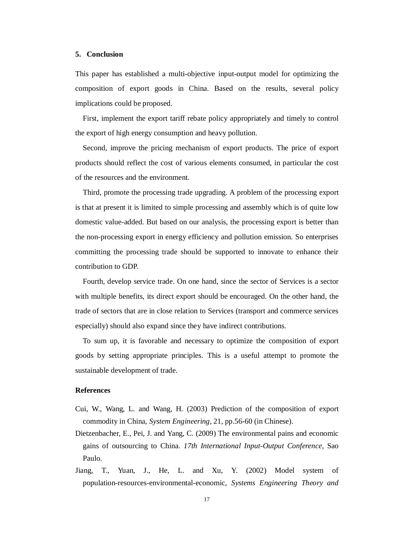#### **5. Conclusion**

This paper has established a multi-objective input-output model for optimizing the composition of export goods in China. Based on the results, several policy implications could be proposed.

First, implement the export tariff rebate policy appropriately and timely to control the export of high energy consumption and heavy pollution.

Second, improve the pricing mechanism of export products. The price of export products should reflect the cost of various elements consumed, in particular the cost of the resources and the environment.

Third, promote the processing trade upgrading. A problem of the processing export is that at present it is limited to simple processing and assembly which is of quite low domestic value-added. But based on our analysis, the processing export is better than the non-processing export in energy efficiency and pollution emission. So enterprises committing the processing trade should be supported to innovate to enhance their contribution to GDP.

Fourth, develop service trade. On one hand, since the sector of Services is a sector with multiple benefits, its direct export should be encouraged. On the other hand, the trade of sectors that are in close relation to Services (transport and commerce services especially) should also expand since they have indirect contributions.

To sum up, it is favorable and necessary to optimize the composition of export goods by setting appropriate principles. This is a useful attempt to promote the sustainable development of trade.

#### **References**

- Cui, W., Wang, L. and Wang, H. (2003) Prediction of the composition of export commodity in China, *System Engineering*, 21, pp.56-60 (in Chinese).
- Dietzenbacher, E., Pei, J. and Yang, C. (2009) The environmental pains and economic gains of outsourcing to China. *17th International Input-Output Conference*, Sao Paulo.
- Jiang, T., Yuan, J., He, L. and Xu, Y. (2002) Model system of population-resources-environmental-economic, *Systems Engineering Theory and*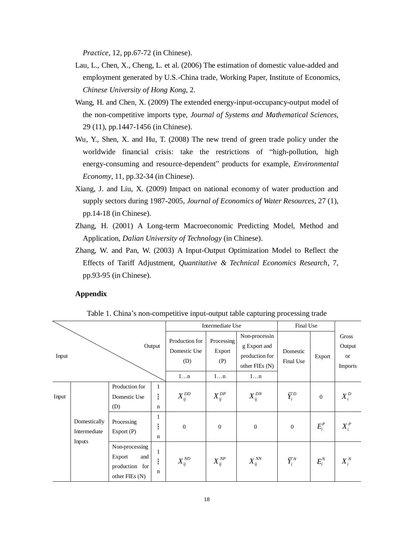*Practice,* 12, pp.67-72 (in Chinese).

- Lau, L., Chen, X., Cheng, L. et al. (2006) The estimation of domestic value-added and employment generated by U.S.-China trade, Working Paper, Institute of Economics, *Chinese University of Hong Kong*, 2.
- Wang, H. and Chen, X. (2009) The extended energy-input-occupancy-output model of the non-competitive imports type, *Journal of Systems and Mathematical Sciences*, 29 (11), pp.1447-1456 (in Chinese).
- Wu, Y., Shen, X. and Hu, T. (2008) The new trend of green trade policy under the worldwide financial crisis: take the restrictions of "high-pollution, high energy-consuming and resource-dependent" products for example, *Environmental Economy*, 11, pp.32-34 (in Chinese).
- Xiang, J. and Liu, X. (2009) Impact on national economy of water production and supply sectors during 1987-2005, *Journal of Economics of Water Resources*, 27 (1), pp.14-18 (in Chinese).
- Zhang, H. (2001) A Long-term Macroeconomic Predicting Model, Method and Application, *Dalian University of Technology* (in Chinese).
- Zhang, W. and Pan, W. (2003) A Input-Output Optimization Model to Reflect the Effects of Tariff Adjustment, *Quantitative & Technical Economics Research*, 7, pp.93-95 (in Chinese).

#### **Appendix**

Table 1. China's non-competitive input-output table capturing processing trade

|       |                                        |                                                                     |                                  |                                       | Intermediate Use            |                                                                   | Final Use             |                  |                                         |
|-------|----------------------------------------|---------------------------------------------------------------------|----------------------------------|---------------------------------------|-----------------------------|-------------------------------------------------------------------|-----------------------|------------------|-----------------------------------------|
| Input |                                        |                                                                     | Output                           | Production for<br>Domestic Use<br>(D) | Processing<br>Export<br>(P) | Non-processin<br>g Export and<br>production for<br>other FIEs (N) | Domestic<br>Final Use | Export           | Gross<br>Output<br><b>or</b><br>Imports |
|       |                                        |                                                                     |                                  | 1n                                    | 1n                          | 1n                                                                |                       |                  |                                         |
| Input |                                        | Production for<br>Domestic Use<br>(D)                               | $\mathbf{1}$<br>ŧ<br>$\mathbf n$ | $X_{ij}^{DD}$                         | $X_{ii}^{DP}$               | $X_{ii}^{DN}$                                                     | $\bar{Y}_i^D$         | $\boldsymbol{0}$ | $X_i^D$                                 |
|       | Domestically<br>Intermediate<br>Inputs | Processing<br>Export(P)                                             | 1<br>÷<br>÷.<br>$\mathbf n$      | $\boldsymbol{0}$                      | $\theta$                    | $\overline{0}$                                                    | $\overline{0}$        | $E_i^P$          | $X_i^P$                                 |
|       |                                        | Non-processing<br>Export<br>and<br>production for<br>other FIEs (N) | 1<br>ł<br>n                      | $X_{ij}^{ND}$                         | $X_{ii}^{NP}$               | $X_{ij}^{N\!N}$                                                   | $\bar{Y}_{i}^{N}$     | $E_i^N$          | $X_i^N$                                 |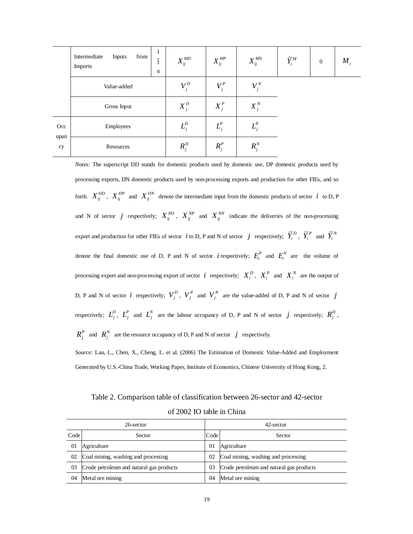|            | -1<br>Intermediate<br>Inputs<br>from<br>٠<br>٠<br>Imports<br>$\mathbf n$ | $X_{\scriptscriptstyle ij}^{\scriptscriptstyle MD}$ | $X_{\scriptscriptstyle ij}^{\scriptscriptstyle MP}$ | $X_{\scriptscriptstyle ij}^{\scriptscriptstyle MN}$ | $\overline{Y}_{i}^{M}$ | $\boldsymbol{0}$ | $M_{i}$ |
|------------|--------------------------------------------------------------------------|-----------------------------------------------------|-----------------------------------------------------|-----------------------------------------------------|------------------------|------------------|---------|
|            | Value-added                                                              | $V_i^D$                                             | $V_i^P$                                             | $V_i^N$                                             |                        |                  |         |
|            | Gross Input                                                              | $X_i^D$                                             | $X_i^P$                                             | $X_i^N$                                             |                        |                  |         |
| Occ        | Employees                                                                | $L_j^D$                                             | $L_i^P$                                             | $L_j^N$                                             |                        |                  |         |
| upan<br>cy | Resources                                                                | $R_i^D$                                             | $R_i^P$                                             | $R_i^N$                                             |                        |                  |         |

*Notes:* The superscript DD stands for domestic products used by domestic use, DP domestic products used by processing exports, DN domestic products used by non-processing exports and production for other FIEs, and so forth.  $X_{ij}^{DD}$ ,  $X_{ij}^{DP}$  and  $X_{ij}^{DN}$  denote the intermediate input from the domestic products of sector *i* to D, P and N of sector *j* respectively;  $X_{ij}^{ND}$ ,  $X_{ij}^{NP}$  and  $X_{ij}^{NN}$  indicate the deliveries of the non-processing export and production for other FIEs of sector *i* to D, P and N of sector *j* respectively;  $\overline{Y}_i^D$ ,  $\overline{Y}_i^P$  and  $\overline{Y}_i^N$ denote the final domestic use of D, P and N of sector *i* respectively;  $E_i^P$  and  $E_i^N$  are the volume of processing export and non-processing export of sector *i* respectively;  $X_i^D$ ,  $X_i^P$  and  $X_i^N$  are the output of D, P and N of sector *i* respectively;  $V_j^D$ ,  $V_j^P$  and  $V_j^N$  are the value-added of D, P and N of sector *j* respectively;  $L_j^D$ ,  $L_j^P$  and  $L_j^N$  are the labour occupancy of D, P and N of sector *j* respectively;  $R_j^D$ ,  $R_j^P$  and  $R_j^N$  are the resource occupancy of D, P and N of sector *j* respectively.

*Source:* Lau, L., Chen, X., Cheng, L. et al. (2006) The Estimation of Domestic Value-Added and Employment Generated by U.S.-China Trade, Working Paper, Institute of Economics, Chinese University of Hong Kong, 2.

Table 2. Comparison table of classification between 26-sector and 42-sector

| of 2002 IO table in China |  |  |
|---------------------------|--|--|
|---------------------------|--|--|

| 26-sector |                                          |      | 42-sector                                |  |  |  |
|-----------|------------------------------------------|------|------------------------------------------|--|--|--|
| Code      | Sector                                   | Code | Sector                                   |  |  |  |
| 01        | Agriculture                              | 01   | Agriculture                              |  |  |  |
| 02        | Coal mining, washing and processing      | 02   | Coal mining, washing and processing      |  |  |  |
| 03        | Crude petroleum and natural gas products | 03   | Crude petroleum and natural gas products |  |  |  |
| 04        | Metal ore mining                         | 04   | Metal ore mining                         |  |  |  |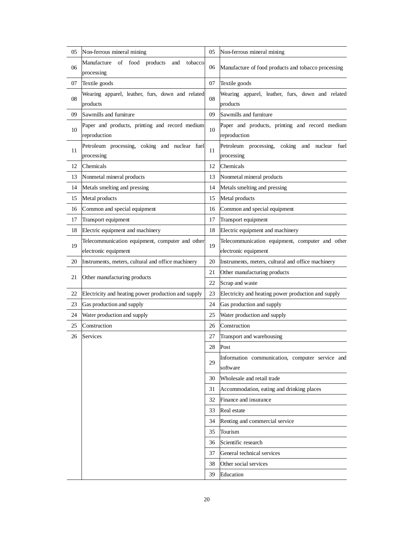| 05 | Non-ferrous mineral mining                          | 05 | Non-ferrous mineral mining                          |
|----|-----------------------------------------------------|----|-----------------------------------------------------|
|    | Manufacture of food products<br>tobacco<br>and      |    |                                                     |
| 06 | processing                                          | 06 | Manufacture of food products and tobacco processing |
| 07 | Textile goods                                       | 07 | Textile goods                                       |
|    | Wearing apparel, leather, furs, down and related    |    | Wearing apparel, leather, furs, down and related    |
| 08 | products                                            | 08 | products                                            |
| 09 | Sawmills and furniture                              | 09 | Sawmills and furniture                              |
|    | Paper and products, printing and record medium      |    | Paper and products, printing and record medium      |
| 10 | reproduction                                        | 10 | reproduction                                        |
|    | Petroleum processing, coking and nuclear fuel       |    | Petroleum processing, coking and nuclear fuel       |
| 11 | processing                                          | 11 | processing                                          |
| 12 | Chemicals                                           | 12 | Chemicals                                           |
| 13 | Nonmetal mineral products                           | 13 | Nonmetal mineral products                           |
| 14 | Metals smelting and pressing                        | 14 | Metals smelting and pressing                        |
| 15 | Metal products                                      | 15 | Metal products                                      |
| 16 | Common and special equipment                        | 16 | Common and special equipment                        |
| 17 | Transport equipment                                 | 17 | Transport equipment                                 |
| 18 | Electric equipment and machinery                    | 18 | Electric equipment and machinery                    |
|    | Telecommunication equipment, computer and other     |    | Telecommunication equipment, computer and other     |
| 19 | electronic equipment                                | 19 | electronic equipment                                |
| 20 | Instruments, meters, cultural and office machinery  | 20 | Instruments, meters, cultural and office machinery  |
| 21 | Other manufacturing products                        | 21 | Other manufacturing products                        |
|    |                                                     | 22 | Scrap and waste                                     |
| 22 | Electricity and heating power production and supply | 23 | Electricity and heating power production and supply |
| 23 | Gas production and supply                           | 24 | Gas production and supply                           |
| 24 | Water production and supply                         | 25 | Water production and supply                         |
| 25 | Construction                                        | 26 | Construction                                        |
| 26 | Services                                            | 27 | Transport and warehousing                           |
|    |                                                     | 28 | Post                                                |
|    |                                                     |    | Information communication, computer service and     |
|    |                                                     | 29 | software                                            |
|    |                                                     | 30 | Wholesale and retail trade                          |
|    |                                                     | 31 | Accommodation, eating and drinking places           |
|    |                                                     | 32 | Finance and insurance                               |
|    |                                                     | 33 | Real estate                                         |
|    |                                                     | 34 | Renting and commercial service                      |
|    |                                                     | 35 | Tourism                                             |
|    |                                                     | 36 | Scientific research                                 |
|    |                                                     | 37 | General technical services                          |
|    |                                                     | 38 | Other social services                               |
|    |                                                     | 39 | Education                                           |